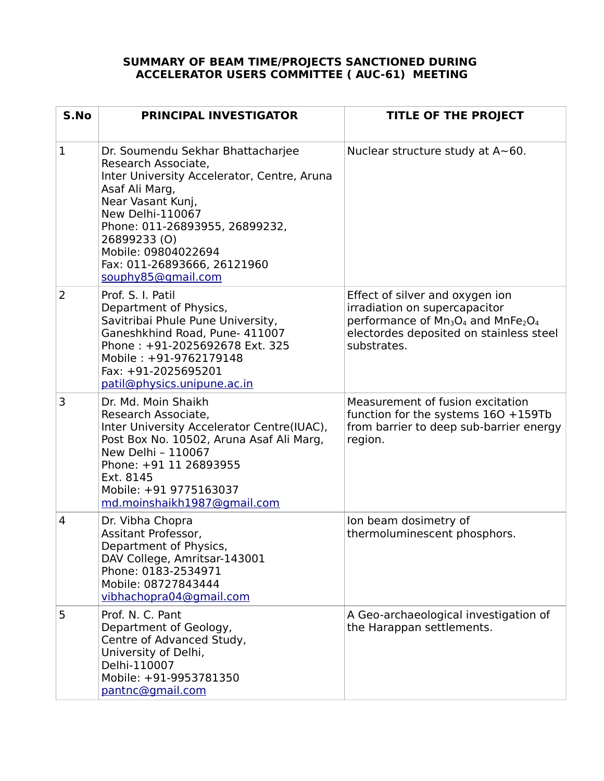## **SUMMARY OF BEAM TIME/PROJECTS SANCTIONED DURING ACCELERATOR USERS COMMITTEE ( AUC-61) MEETING**

| S.No         | PRINCIPAL INVESTIGATOR                                                                                                                                                                                                                                                                                  | <b>TITLE OF THE PROJECT</b>                                                                                                                                                                                      |
|--------------|---------------------------------------------------------------------------------------------------------------------------------------------------------------------------------------------------------------------------------------------------------------------------------------------------------|------------------------------------------------------------------------------------------------------------------------------------------------------------------------------------------------------------------|
| $\mathbf{1}$ | Dr. Soumendu Sekhar Bhattacharjee<br>Research Associate,<br>Inter University Accelerator, Centre, Aruna<br>Asaf Ali Marg,<br>Near Vasant Kunj,<br><b>New Delhi-110067</b><br>Phone: 011-26893955, 26899232,<br>26899233 (O)<br>Mobile: 09804022694<br>Fax: 011-26893666, 26121960<br>souphy85@gmail.com | Nuclear structure study at $A \sim 60$ .                                                                                                                                                                         |
| 2            | Prof. S. I. Patil<br>Department of Physics,<br>Savitribai Phule Pune University,<br>Ganeshkhind Road, Pune- 411007<br>Phone: +91-2025692678 Ext. 325<br>Mobile: +91-9762179148<br>Fax: +91-2025695201<br>patil@physics.unipune.ac.in                                                                    | Effect of silver and oxygen ion<br>irradiation on supercapacitor<br>performance of Mn <sub>3</sub> O <sub>4</sub> and MnFe <sub>2</sub> O <sub>4</sub><br>electordes deposited on stainless steel<br>substrates. |
| 3            | Dr. Md. Moin Shaikh<br>Research Associate,<br>Inter University Accelerator Centre(IUAC),<br>Post Box No. 10502, Aruna Asaf Ali Marg,<br>New Delhi - 110067<br>Phone: +91 11 26893955<br>Ext. 8145<br>Mobile: +91 9775163037<br>md.moinshaikh1987@gmail.com                                              | Measurement of fusion excitation<br>function for the systems $160 + 159Tb$<br>from barrier to deep sub-barrier energy<br>region.                                                                                 |
| 4            | Dr. Vibha Chopra<br>Assitant Professor,<br>Department of Physics<br>DAV College, Amritsar-143001<br>Phone: 0183-2534971<br>Mobile: 08727843444<br>vibhachopra04@gmail.com                                                                                                                               | Ion beam dosimetry of<br>thermoluminescent phosphors.                                                                                                                                                            |
| 5            | Prof. N. C. Pant<br>Department of Geology,<br>Centre of Advanced Study,<br>University of Delhi,<br>Delhi-110007<br>Mobile: +91-9953781350<br>pantnc@gmail.com                                                                                                                                           | A Geo-archaeological investigation of<br>the Harappan settlements.                                                                                                                                               |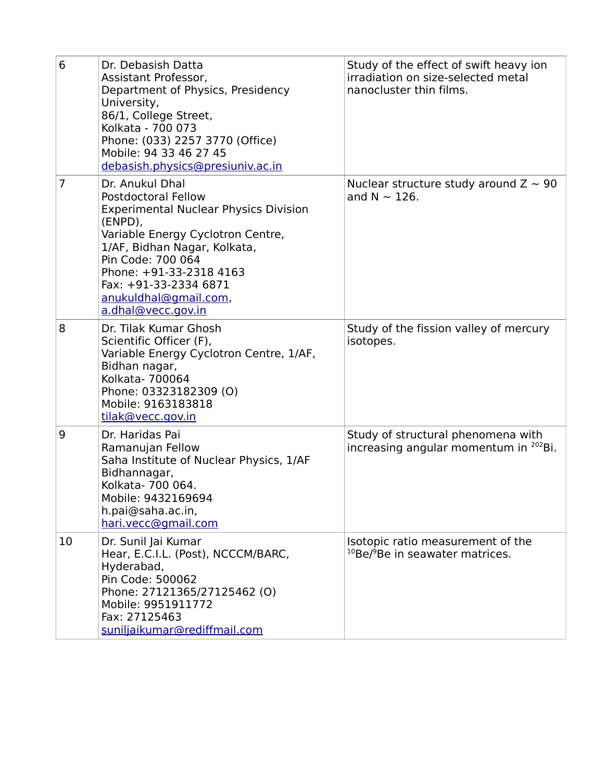| 6  | Dr. Debasish Datta<br>Assistant Professor,<br>Department of Physics, Presidency<br>University,<br>86/1, College Street,<br>Kolkata - 700 073<br>Phone: (033) 2257 3770 (Office)<br>Mobile: 94 33 46 27 45<br>debasish.physics@presiuniv.ac.in                                                         | Study of the effect of swift heavy ion<br>irradiation on size-selected metal<br>nanocluster thin films. |
|----|-------------------------------------------------------------------------------------------------------------------------------------------------------------------------------------------------------------------------------------------------------------------------------------------------------|---------------------------------------------------------------------------------------------------------|
| 7  | Dr. Anukul Dhal<br><b>Postdoctoral Fellow</b><br><b>Experimental Nuclear Physics Division</b><br>(ENPD),<br>Variable Energy Cyclotron Centre,<br>1/AF, Bidhan Nagar, Kolkata,<br>Pin Code: 700 064<br>Phone: +91-33-2318 4163<br>Fax: +91-33-2334 6871<br>anukuldhal@gmail.com,<br>a.dhal@vecc.gov.in | Nuclear structure study around $Z \sim 90$<br>and $N \sim 126$ .                                        |
| 8  | Dr. Tilak Kumar Ghosh<br>Scientific Officer (F),<br>Variable Energy Cyclotron Centre, 1/AF,<br>Bidhan nagar,<br>Kolkata- 700064<br>Phone: 03323182309 (O)<br>Mobile: 9163183818<br>tilak@vecc.gov.in                                                                                                  | Study of the fission valley of mercury<br>isotopes.                                                     |
| 9  | Dr. Haridas Pai<br>Ramanujan Fellow<br>Saha Institute of Nuclear Physics, 1/AF<br>Bidhannagar,<br>Kolkata- 700 064.<br>Mobile: 9432169694<br>h.pai@saha.ac.in,<br>hari.vecc@gmail.com                                                                                                                 | Study of structural phenomena with<br>increasing angular momentum in <sup>202</sup> Bi.                 |
| 10 | Dr. Sunil Jai Kumar<br>Hear, E.C.I.L. (Post), NCCCM/BARC,<br>Hyderabad,<br>Pin Code: 500062<br>Phone: 27121365/27125462 (O)<br>Mobile: 9951911772<br>Fax: 27125463<br>suniljaikumar@rediffmail.com                                                                                                    | Isotopic ratio measurement of the<br><sup>10</sup> Be/ <sup>9</sup> Be in seawater matrices.            |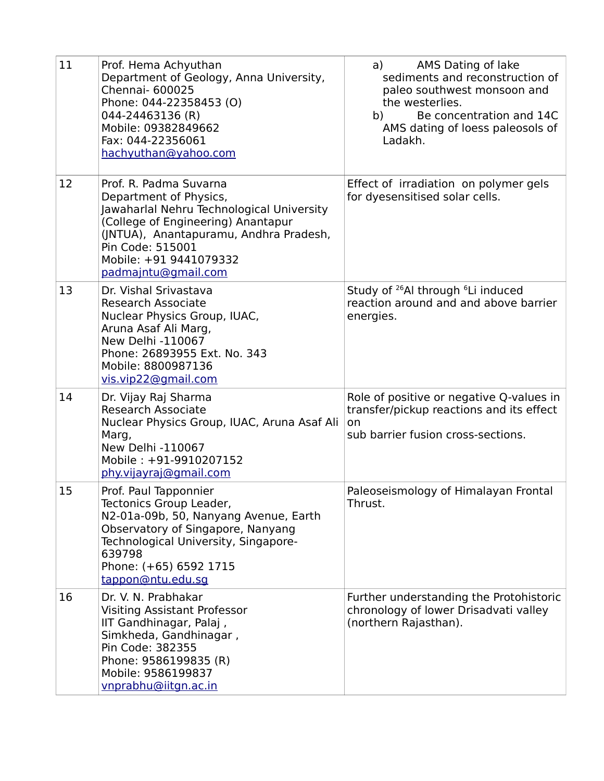| 11 | Prof. Hema Achyuthan<br>Department of Geology, Anna University,<br>Chennai- 600025<br>Phone: 044-22358453 (O)<br>044-24463136 (R)<br>Mobile: 09382849662<br>Fax: 044-22356061<br>hachyuthan@yahoo.com                                              | AMS Dating of lake<br>a)<br>sediments and reconstruction of<br>paleo southwest monsoon and<br>the westerlies.<br>Be concentration and 14C<br>b)<br>AMS dating of loess paleosols of<br>Ladakh. |
|----|----------------------------------------------------------------------------------------------------------------------------------------------------------------------------------------------------------------------------------------------------|------------------------------------------------------------------------------------------------------------------------------------------------------------------------------------------------|
| 12 | Prof. R. Padma Suvarna<br>Department of Physics,<br>Jawaharlal Nehru Technological University<br>(College of Engineering) Anantapur<br>(JNTUA), Anantapuramu, Andhra Pradesh,<br>Pin Code: 515001<br>Mobile: +91 9441079332<br>padmajntu@gmail.com | Effect of irradiation on polymer gels<br>for dyesensitised solar cells.                                                                                                                        |
| 13 | Dr. Vishal Srivastava<br>Research Associate<br>Nuclear Physics Group, IUAC,<br>Aruna Asaf Ali Marg,<br>New Delhi -110067<br>Phone: 26893955 Ext. No. 343<br>Mobile: 8800987136<br>vis.vip22@gmail.com                                              | Study of <sup>26</sup> Al through <sup>6</sup> Li induced<br>reaction around and and above barrier<br>energies.                                                                                |
| 14 | Dr. Vijay Raj Sharma<br>Research Associate<br>Nuclear Physics Group, IUAC, Aruna Asaf Ali<br>Marg,<br>New Delhi -110067<br>Mobile: +91-9910207152<br>phy.vijayraj@gmail.com                                                                        | Role of positive or negative Q-values in<br>transfer/pickup reactions and its effect<br>on<br>sub barrier fusion cross-sections.                                                               |
| 15 | Prof. Paul Tapponnier<br>Tectonics Group Leader,<br>N2-01a-09b, 50, Nanyang Avenue, Earth<br>Observatory of Singapore, Nanyang<br>Technological University, Singapore-<br>639798<br>Phone: (+65) 6592 1715<br>tappon@ntu.edu.sq                    | Paleoseismology of Himalayan Frontal<br>Thrust.                                                                                                                                                |
| 16 | Dr. V. N. Prabhakar<br><b>Visiting Assistant Professor</b><br>IIT Gandhinagar, Palaj,<br>Simkheda, Gandhinagar,<br>Pin Code: 382355<br>Phone: 9586199835 (R)<br>Mobile: 9586199837<br>vnprabhu@iitgn.ac.in                                         | Further understanding the Protohistoric<br>chronology of lower Drisadvati valley<br>(northern Rajasthan).                                                                                      |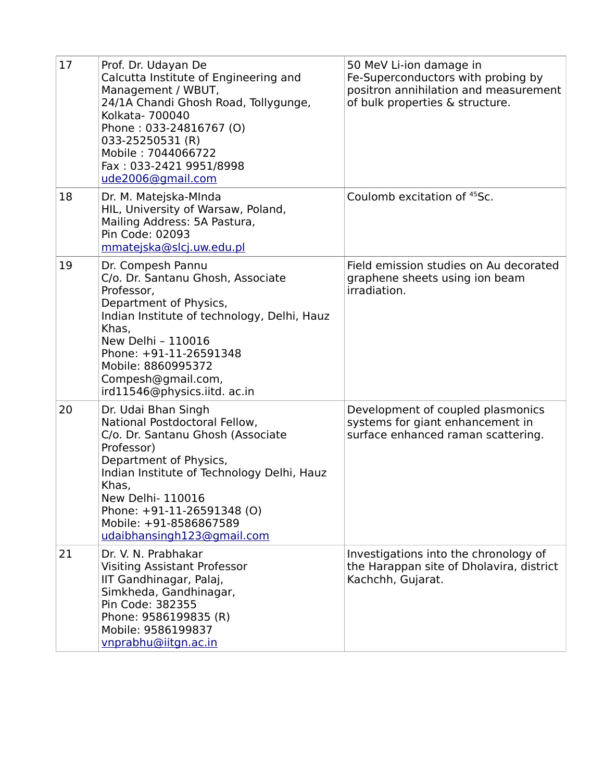| 17 | Prof. Dr. Udayan De<br>Calcutta Institute of Engineering and<br>Management / WBUT,<br>24/1A Chandi Ghosh Road, Tollygunge,<br>Kolkata- 700040<br>Phone: 033-24816767 (O)<br>033-25250531 (R)<br>Mobile: 7044066722<br>Fax: 033-2421 9951/8998<br>ude2006@gmail.com                                  | 50 MeV Li-ion damage in<br>Fe-Superconductors with probing by<br>positron annihilation and measurement<br>of bulk properties & structure. |
|----|-----------------------------------------------------------------------------------------------------------------------------------------------------------------------------------------------------------------------------------------------------------------------------------------------------|-------------------------------------------------------------------------------------------------------------------------------------------|
| 18 | Dr. M. Matejska-MInda<br>HIL, University of Warsaw, Poland,<br>Mailing Address: 5A Pastura,<br>Pin Code: 02093<br>mmatejska@slcj.uw.edu.pl                                                                                                                                                          | Coulomb excitation of <sup>45</sup> Sc.                                                                                                   |
| 19 | Dr. Compesh Pannu<br>C/o. Dr. Santanu Ghosh, Associate<br>Professor,<br>Department of Physics,<br>Indian Institute of technology, Delhi, Hauz<br>Khas.<br>New Delhi - 110016<br>Phone: +91-11-26591348<br>Mobile: 8860995372<br>Compesh@gmail.com,<br>ird11546@physics.iitd. ac.in                  | Field emission studies on Au decorated<br>graphene sheets using ion beam<br>irradiation.                                                  |
| 20 | Dr. Udai Bhan Singh<br>National Postdoctoral Fellow,<br>C/o. Dr. Santanu Ghosh (Associate<br>Professor)<br>Department of Physics,<br>Indian Institute of Technology Delhi, Hauz<br>Khas,<br>New Delhi- 110016<br>Phone: +91-11-26591348 (O)<br>Mobile: +91-8586867589<br>udaibhansingh123@gmail.com | Development of coupled plasmonics<br>systems for giant enhancement in<br>surface enhanced raman scattering.                               |
| 21 | Dr. V. N. Prabhakar<br><b>Visiting Assistant Professor</b><br>IIT Gandhinagar, Palaj,<br>Simkheda, Gandhinagar,<br>Pin Code: 382355<br>Phone: 9586199835 (R)<br>Mobile: 9586199837<br>vnprabhu@iitgn.ac.in                                                                                          | Investigations into the chronology of<br>the Harappan site of Dholavira, district<br>Kachchh, Gujarat.                                    |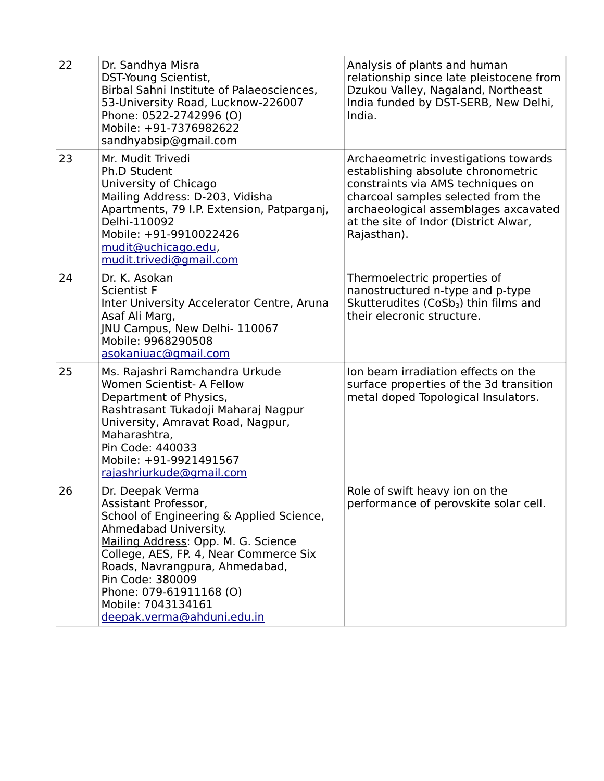| 22 | Dr. Sandhya Misra<br>DST-Young Scientist,<br>Birbal Sahni Institute of Palaeosciences,<br>53-University Road, Lucknow-226007<br>Phone: 0522-2742996 (O)<br>Mobile: +91-7376982622<br>sandhyabsip@gmail.com                                                                                                                          | Analysis of plants and human<br>relationship since late pleistocene from<br>Dzukou Valley, Nagaland, Northeast<br>India funded by DST-SERB, New Delhi,<br>India.                                                                                      |
|----|-------------------------------------------------------------------------------------------------------------------------------------------------------------------------------------------------------------------------------------------------------------------------------------------------------------------------------------|-------------------------------------------------------------------------------------------------------------------------------------------------------------------------------------------------------------------------------------------------------|
| 23 | Mr. Mudit Trivedi<br>Ph.D Student<br>University of Chicago<br>Mailing Address: D-203, Vidisha<br>Apartments, 79 I.P. Extension, Patparganj,<br>Delhi-110092<br>Mobile: +91-9910022426<br>mudit@uchicago.edu,<br>mudit.trivedi@gmail.com                                                                                             | Archaeometric investigations towards<br>establishing absolute chronometric<br>constraints via AMS techniques on<br>charcoal samples selected from the<br>archaeological assemblages axcavated<br>at the site of Indor (District Alwar,<br>Rajasthan). |
| 24 | Dr. K. Asokan<br><b>Scientist F</b><br>Inter University Accelerator Centre, Aruna<br>Asaf Ali Marg,<br><b>INU Campus, New Delhi-110067</b><br>Mobile: 9968290508<br>asokaniuac@gmail.com                                                                                                                                            | Thermoelectric properties of<br>nanostructured n-type and p-type<br>Skutterudites (CoSb <sub>3</sub> ) thin films and<br>their elecronic structure.                                                                                                   |
| 25 | Ms. Rajashri Ramchandra Urkude<br>Women Scientist- A Fellow<br>Department of Physics,<br>Rashtrasant Tukadoji Maharaj Nagpur<br>University, Amravat Road, Nagpur,<br>Maharashtra,<br>Pin Code: 440033<br>Mobile: +91-9921491567<br>rajashriurkude@gmail.com                                                                         | Jon beam irradiation effects on the<br>surface properties of the 3d transition<br>metal doped Topological Insulators.                                                                                                                                 |
| 26 | Dr. Deepak Verma<br>Assistant Professor,<br>School of Engineering & Applied Science,<br>Ahmedabad University.<br>Mailing Address: Opp. M. G. Science<br>College, AES, FP. 4, Near Commerce Six<br>Roads, Navrangpura, Ahmedabad,<br>Pin Code: 380009<br>Phone: 079-61911168 (O)<br>Mobile: 7043134161<br>deepak.verma@ahduni.edu.in | Role of swift heavy ion on the<br>performance of perovskite solar cell.                                                                                                                                                                               |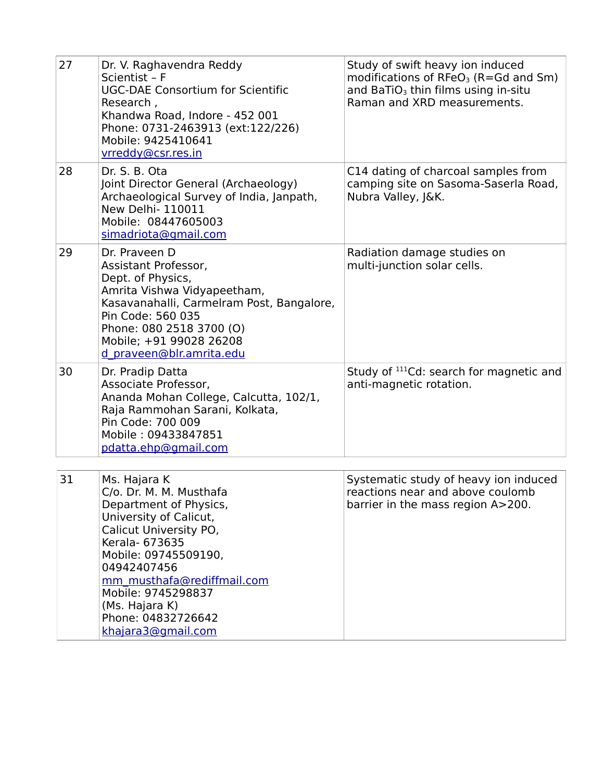| 27 | Dr. V. Raghavendra Reddy<br>Scientist - F<br><b>UGC-DAE Consortium for Scientific</b><br>Research,<br>Khandwa Road, Indore - 452 001<br>Phone: 0731-2463913 (ext:122/226)<br>Mobile: 9425410641<br>vrreddy@csr.res.in                                                                            | Study of swift heavy ion induced<br>modifications of $RFeO3$ (R=Gd and Sm)<br>and BaTiO <sub>3</sub> thin films using in-situ<br>Raman and XRD measurements. |
|----|--------------------------------------------------------------------------------------------------------------------------------------------------------------------------------------------------------------------------------------------------------------------------------------------------|--------------------------------------------------------------------------------------------------------------------------------------------------------------|
| 28 | Dr. S. B. Ota<br>Joint Director General (Archaeology)<br>Archaeological Survey of India, Janpath,<br>New Delhi- 110011<br>Mobile: 08447605003<br>simadriota@gmail.com                                                                                                                            | C14 dating of charcoal samples from<br>camping site on Sasoma-Saserla Road,<br>Nubra Valley, J&K.                                                            |
| 29 | Dr. Praveen D<br>Assistant Professor,<br>Dept. of Physics,<br>Amrita Vishwa Vidyapeetham,<br>Kasavanahalli, Carmelram Post, Bangalore,<br>Pin Code: 560 035<br>Phone: 080 2518 3700 (O)<br>Mobile; +91 99028 26208<br>d praveen@blr.amrita.edu                                                   | Radiation damage studies on<br>multi-junction solar cells.                                                                                                   |
| 30 | Dr. Pradip Datta<br>Associate Professor,<br>Ananda Mohan College, Calcutta, 102/1,<br>Raja Rammohan Sarani, Kolkata,<br>Pin Code: 700 009<br>Mobile: 09433847851<br>pdatta.ehp@gmail.com                                                                                                         | Study of <sup>111</sup> Cd: search for magnetic and<br>anti-magnetic rotation.                                                                               |
| 31 | Ms. Hajara K<br>C/o. Dr. M. M. Musthafa<br>Department of Physics,<br>University of Calicut,<br>Calicut University PO,<br>Kerala- 673635<br>Mobile: 09745509190,<br>04942407456<br>mm musthafa@rediffmail.com<br>Mobile: 9745298837<br>(Ms. Hajara K)<br>Phone: 04832726642<br>khajara3@gmail.com | Systematic study of heavy ion induced<br>reactions near and above coulomb<br>barrier in the mass region A>200.                                               |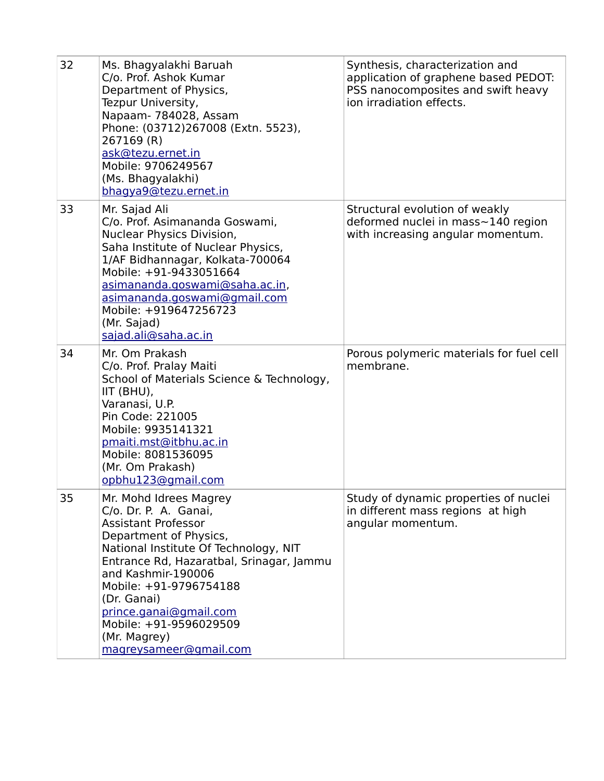| 32 | Ms. Bhagyalakhi Baruah<br>C/o. Prof. Ashok Kumar<br>Department of Physics,<br>Tezpur University,<br>Napaam- 784028, Assam<br>Phone: (03712)267008 (Extn. 5523),<br>267169 (R)<br>ask@tezu.ernet.in<br>Mobile: 9706249567<br>(Ms. Bhagyalakhi)<br>bhagya9@tezu.ernet.in                                                                                    | Synthesis, characterization and<br>application of graphene based PEDOT:<br>PSS nanocomposites and swift heavy<br>ion irradiation effects. |
|----|-----------------------------------------------------------------------------------------------------------------------------------------------------------------------------------------------------------------------------------------------------------------------------------------------------------------------------------------------------------|-------------------------------------------------------------------------------------------------------------------------------------------|
| 33 | Mr. Sajad Ali<br>C/o. Prof. Asimananda Goswami,<br>Nuclear Physics Division,<br>Saha Institute of Nuclear Physics,<br>1/AF Bidhannagar, Kolkata-700064<br>Mobile: +91-9433051664<br><u>asimananda.goswami@saha.ac.in,</u><br>asimananda.goswami@gmail.com<br>Mobile: +919647256723<br>(Mr. Sajad)<br>sajad.ali@saha.ac.in                                 | Structural evolution of weakly<br>deformed nuclei in mass~140 region<br>with increasing angular momentum.                                 |
| 34 | Mr. Om Prakash<br>C/o. Prof. Pralay Maiti<br>School of Materials Science & Technology,<br>IIT (BHU),<br>Varanasi, U.P.<br>Pin Code: 221005<br>Mobile: 9935141321<br>pmaiti.mst@itbhu.ac.in<br>Mobile: 8081536095<br>(Mr. Om Prakash)<br>opbhu123@gmail.com                                                                                                | Porous polymeric materials for fuel cell<br>membrane.                                                                                     |
| 35 | Mr. Mohd Idrees Magrey<br>C/o. Dr. P. A. Ganai,<br><b>Assistant Professor</b><br>Department of Physics,<br>National Institute Of Technology, NIT<br>Entrance Rd, Hazaratbal, Srinagar, Jammu<br>and Kashmir-190006<br>Mobile: +91-9796754188<br>(Dr. Ganai)<br>prince.ganai@gmail.com<br>Mobile: +91-9596029509<br>(Mr. Magrey)<br>magreysameer@gmail.com | Study of dynamic properties of nuclei<br>in different mass regions at high<br>angular momentum.                                           |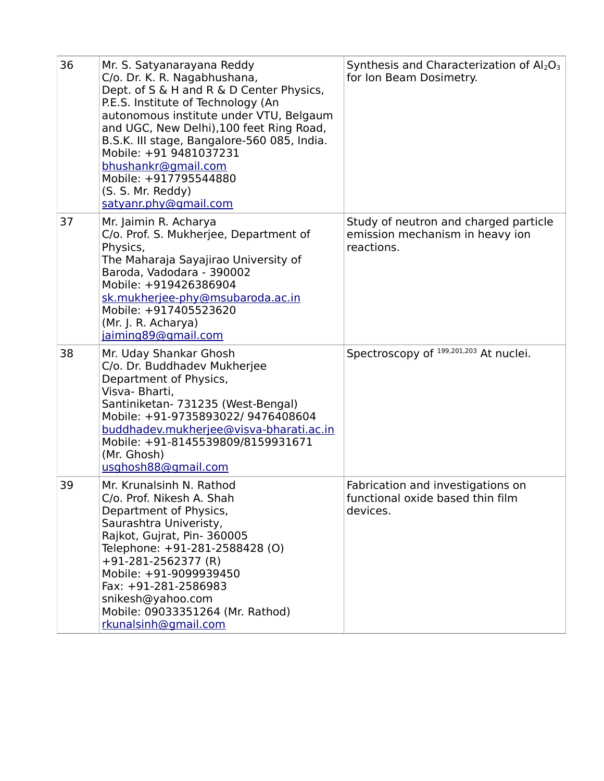| 36 | Mr. S. Satyanarayana Reddy<br>C/o. Dr. K. R. Nagabhushana,<br>Dept. of S & H and R & D Center Physics,<br>P.E.S. Institute of Technology (An<br>autonomous institute under VTU, Belgaum<br>and UGC, New Delhi), 100 feet Ring Road,<br>B.S.K. III stage, Bangalore-560 085, India.<br>Mobile: +91 9481037231<br>bhushankr@gmail.com<br>Mobile: +917795544880<br>(S. S. Mr. Reddy)<br>satyanr.phy@gmail.com | Synthesis and Characterization of $Al_2O_3$<br>for Ion Beam Dosimetry.                 |
|----|------------------------------------------------------------------------------------------------------------------------------------------------------------------------------------------------------------------------------------------------------------------------------------------------------------------------------------------------------------------------------------------------------------|----------------------------------------------------------------------------------------|
| 37 | Mr. Jaimin R. Acharya<br>C/o. Prof. S. Mukherjee, Department of<br>Physics,<br>The Maharaja Sayajirao University of<br>Baroda, Vadodara - 390002<br>Mobile: +919426386904<br>sk.mukherjee-phy@msubaroda.ac.in<br>Mobile: +917405523620<br>(Mr. J. R. Acharya)<br>jaiming89@gmail.com                                                                                                                       | Study of neutron and charged particle<br>emission mechanism in heavy ion<br>reactions. |
| 38 | Mr. Uday Shankar Ghosh<br>C/o. Dr. Buddhadev Mukherjee<br>Department of Physics,<br>Visva- Bharti,<br>Santiniketan- 731235 (West-Bengal)<br>Mobile: +91-9735893022/ 9476408604<br>buddhadev.mukherjee@visva-bharati.ac.in<br>Mobile: +91-8145539809/8159931671<br>(Mr. Ghosh)<br>usghosh88@gmail.com                                                                                                       | Spectroscopy of 199,201,203 At nuclei.                                                 |
| 39 | Mr. Krunalsinh N. Rathod<br>C/o. Prof. Nikesh A. Shah<br>Department of Physics,<br>Saurashtra Univeristy,<br>Rajkot, Gujrat, Pin-360005<br>Telephone: +91-281-2588428 (O)<br>$+91-281-2562377$ (R)<br>Mobile: +91-9099939450<br>Fax: +91-281-2586983<br>snikesh@yahoo.com<br>Mobile: 09033351264 (Mr. Rathod)<br>rkunalsinh@gmail.com                                                                      | Fabrication and investigations on<br>functional oxide based thin film<br>devices.      |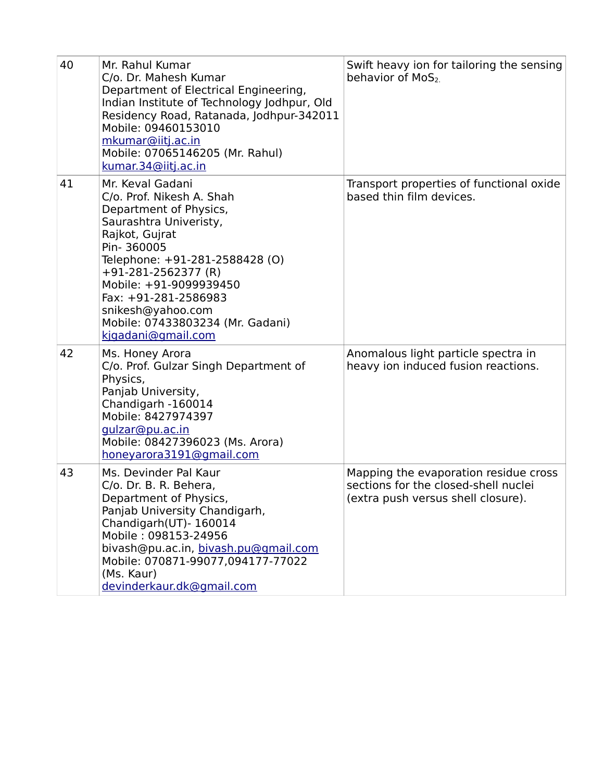| 40 | Mr. Rahul Kumar<br>C/o. Dr. Mahesh Kumar<br>Department of Electrical Engineering,<br>Indian Institute of Technology Jodhpur, Old<br>Residency Road, Ratanada, Jodhpur-342011<br>Mobile: 09460153010<br>mkumar@iitj.ac.in<br>Mobile: 07065146205 (Mr. Rahul)<br>kumar. 34@iitj.ac.in                                           | Swift heavy ion for tailoring the sensing<br>behavior of MoS <sub>2</sub>                                           |
|----|-------------------------------------------------------------------------------------------------------------------------------------------------------------------------------------------------------------------------------------------------------------------------------------------------------------------------------|---------------------------------------------------------------------------------------------------------------------|
| 41 | Mr. Keval Gadani<br>C/o. Prof. Nikesh A. Shah<br>Department of Physics,<br>Saurashtra Univeristy,<br>Rajkot, Gujrat<br>Pin-360005<br>Telephone: +91-281-2588428 (O)<br>$+91-281-2562377$ (R)<br>Mobile: +91-9099939450<br>Fax: +91-281-2586983<br>snikesh@yahoo.com<br>Mobile: 07433803234 (Mr. Gadani)<br>kigadani@gmail.com | Transport properties of functional oxide<br>based thin film devices.                                                |
| 42 | Ms. Honey Arora<br>C/o. Prof. Gulzar Singh Department of<br>Physics,<br>Panjab University,<br>Chandigarh -160014<br>Mobile: 8427974397<br>gulzar@pu.ac.in<br>Mobile: 08427396023 (Ms. Arora)<br>honeyarora3191@gmail.com                                                                                                      | Anomalous light particle spectra in<br>heavy ion induced fusion reactions.                                          |
| 43 | Ms. Devinder Pal Kaur<br>C/o. Dr. B. R. Behera,<br>Department of Physics,<br>Panjab University Chandigarh,<br>Chandigarh(UT)- 160014<br>Mobile: 098153-24956<br>bivash@pu.ac.in, bivash.pu@gmail.com<br>Mobile: 070871-99077,094177-77022<br>(Ms. Kaur)<br>devinderkaur.dk@gmail.com                                          | Mapping the evaporation residue cross<br>sections for the closed-shell nuclei<br>(extra push versus shell closure). |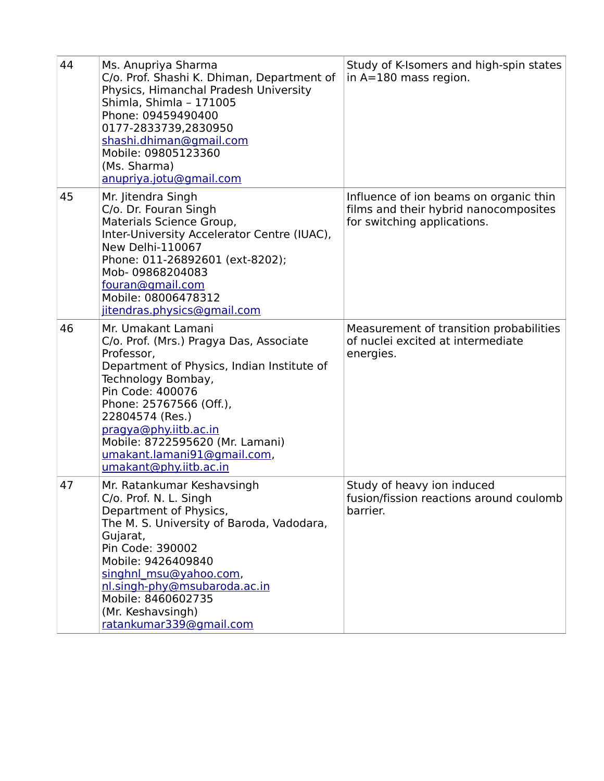| 44 | Ms. Anupriya Sharma<br>C/o. Prof. Shashi K. Dhiman, Department of<br>Physics, Himanchal Pradesh University<br>Shimla, Shimla - 171005<br>Phone: 09459490400<br>0177-2833739,2830950<br>shashi.dhiman@gmail.com<br>Mobile: 09805123360<br>(Ms. Sharma)<br>anupriya.jotu@gmail.com                                                       | Study of K-Isomers and high-spin states<br>in $A=180$ mass region.                                             |
|----|----------------------------------------------------------------------------------------------------------------------------------------------------------------------------------------------------------------------------------------------------------------------------------------------------------------------------------------|----------------------------------------------------------------------------------------------------------------|
| 45 | Mr. Jitendra Singh<br>C/o. Dr. Fouran Singh<br>Materials Science Group,<br>Inter-University Accelerator Centre (IUAC),<br><b>New Delhi-110067</b><br>Phone: 011-26892601 (ext-8202);<br>Mob-09868204083<br>fouran@gmail.com<br>Mobile: 08006478312<br>jitendras.physics@gmail.com                                                      | Influence of ion beams on organic thin<br>films and their hybrid nanocomposites<br>for switching applications. |
| 46 | Mr. Umakant Lamani<br>C/o. Prof. (Mrs.) Pragya Das, Associate<br>Professor,<br>Department of Physics, Indian Institute of<br>Technology Bombay,<br>Pin Code: 400076<br>Phone: 25767566 (Off.),<br>22804574 (Res.)<br>pragya@phy.iitb.ac.in<br>Mobile: 8722595620 (Mr. Lamani)<br>umakant.lamani91@gmail.com,<br>umakant@phy.iitb.ac.in | Measurement of transition probabilities<br>of nuclei excited at intermediate<br>energies.                      |
| 47 | Mr. Ratankumar Keshavsingh<br>C/o. Prof. N. L. Singh<br>Department of Physics,<br>The M. S. University of Baroda, Vadodara,<br>Gujarat,<br>Pin Code: 390002<br>Mobile: 9426409840<br>singhnl msu@yahoo.com,<br>nl.singh-phy@msubaroda.ac.in<br>Mobile: 8460602735<br>(Mr. Keshavsingh)<br>ratankumar339@gmail.com                      | Study of heavy ion induced<br>fusion/fission reactions around coulomb<br>barrier.                              |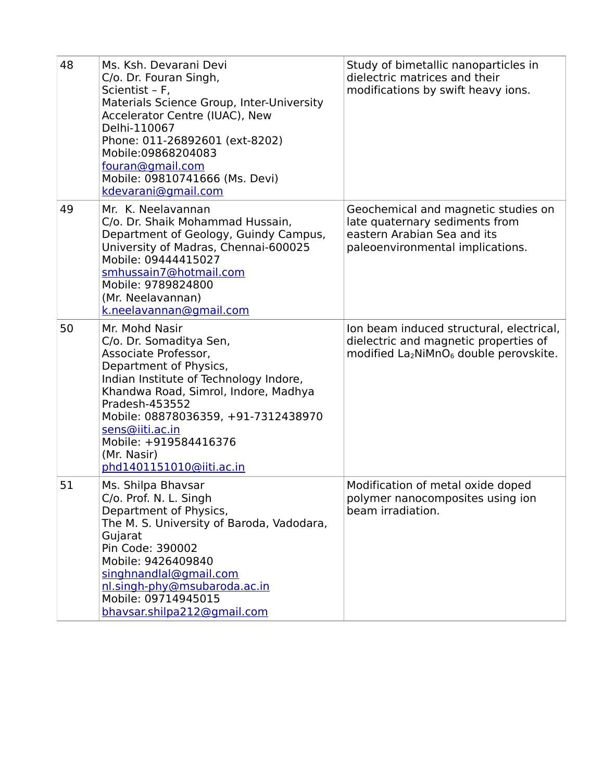| 48 | Ms. Ksh. Devarani Devi<br>C/o. Dr. Fouran Singh,<br>Scientist - F,<br>Materials Science Group, Inter-University<br>Accelerator Centre (IUAC), New<br>Delhi-110067<br>Phone: 011-26892601 (ext-8202)<br>Mobile:09868204083<br>fouran@gmail.com<br>Mobile: 09810741666 (Ms. Devi)<br>kdevarani@gmail.com                        | Study of bimetallic nanoparticles in<br>dielectric matrices and their<br>modifications by swift heavy ions.                              |
|----|-------------------------------------------------------------------------------------------------------------------------------------------------------------------------------------------------------------------------------------------------------------------------------------------------------------------------------|------------------------------------------------------------------------------------------------------------------------------------------|
| 49 | Mr. K. Neelavannan<br>C/o. Dr. Shaik Mohammad Hussain,<br>Department of Geology, Guindy Campus,<br>University of Madras, Chennai-600025<br>Mobile: 09444415027<br>smhussain7@hotmail.com<br>Mobile: 9789824800<br>(Mr. Neelavannan)<br>k.neelavannan@gmail.com                                                                | Geochemical and magnetic studies on<br>late quaternary sediments from<br>eastern Arabian Sea and its<br>paleoenvironmental implications. |
| 50 | Mr. Mohd Nasir<br>C/o. Dr. Somaditya Sen,<br>Associate Professor,<br>Department of Physics,<br>Indian Institute of Technology Indore,<br>Khandwa Road, Simrol, Indore, Madhya<br>Pradesh-453552<br>Mobile: 08878036359, +91-7312438970<br>sens@iiti.ac.in<br>Mobile: +919584416376<br>(Mr. Nasir)<br>phd1401151010@iiti.ac.in | Ion beam induced structural, electrical,<br>dielectric and magnetic properties of<br>modified $La_2NiMnO_6$ double perovskite.           |
| 51 | Ms. Shilpa Bhavsar<br>C/o. Prof. N. L. Singh<br>Department of Physics,<br>The M. S. University of Baroda, Vadodara,<br>Gujarat<br>Pin Code: 390002<br>Mobile: 9426409840<br>singhnandlal@gmail.com<br>nl.singh-phy@msubaroda.ac.in<br>Mobile: 09714945015<br>bhavsar.shilpa212@gmail.com                                      | Modification of metal oxide doped<br>polymer nanocomposites using ion<br>beam irradiation.                                               |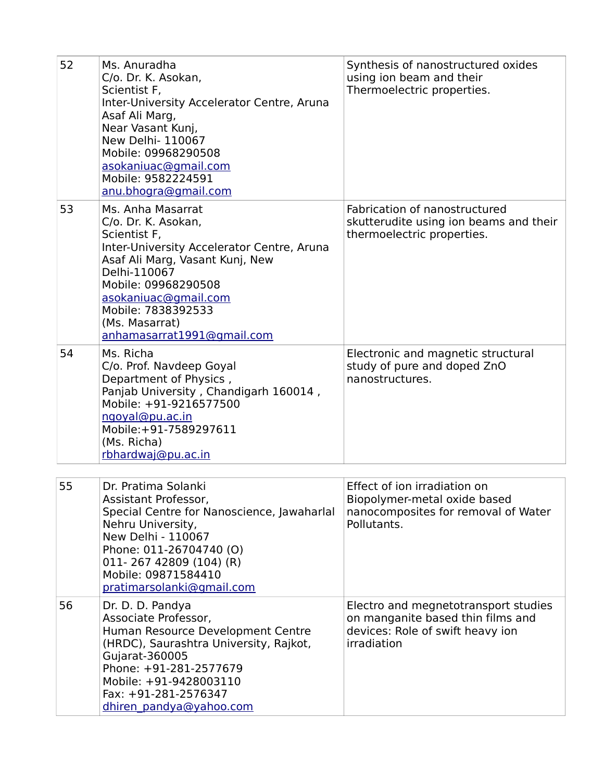| 52 | Ms. Anuradha<br>C/o. Dr. K. Asokan,<br>Scientist F,<br>Inter-University Accelerator Centre, Aruna<br>Asaf Ali Marg,<br>Near Vasant Kunj,<br>New Delhi- 110067<br>Mobile: 09968290508<br>asokaniuac@gmail.com<br>Mobile: 9582224591<br>anu.bhogra@gmail.com                     | Synthesis of nanostructured oxides<br>using ion beam and their<br>Thermoelectric properties.                                 |
|----|--------------------------------------------------------------------------------------------------------------------------------------------------------------------------------------------------------------------------------------------------------------------------------|------------------------------------------------------------------------------------------------------------------------------|
| 53 | Ms. Anha Masarrat<br>C/o. Dr. K. Asokan,<br>Scientist F,<br>Inter-University Accelerator Centre, Aruna<br>Asaf Ali Marg, Vasant Kunj, New<br>Delhi-110067<br>Mobile: 09968290508<br>asokaniuac@gmail.com<br>Mobile: 7838392533<br>(Ms. Masarrat)<br>anhamasarrat1991@gmail.com | Fabrication of nanostructured<br>skutterudite using ion beams and their<br>thermoelectric properties.                        |
| 54 | Ms. Richa<br>C/o. Prof. Navdeep Goyal<br>Department of Physics,<br>Panjab University, Chandigarh 160014,<br>Mobile: +91-9216577500<br>ngoyal@pu.ac.in<br>Mobile:+91-7589297611<br>(Ms. Richa)<br>rbhardwaj@pu.ac.in                                                            | Electronic and magnetic structural<br>study of pure and doped ZnO<br>nanostructures.                                         |
| 55 | Dr. Pratima Solanki                                                                                                                                                                                                                                                            | Effect of ion irradiation on                                                                                                 |
|    | Assistant Professor,<br>Special Centre for Nanoscience, Jawaharlal<br>Nehru University,<br>New Delhi - 110067<br>Phone: 011-26704740 (O)<br>011-267 42809 (104) (R)<br>Mobile: 09871584410<br>pratimarsolanki@gmail.com                                                        | Biopolymer-metal oxide based<br>nanocomposites for removal of Water<br>Pollutants.                                           |
| 56 | Dr. D. D. Pandya<br>Associate Professor,<br>Human Resource Development Centre<br>(HRDC), Saurashtra University, Rajkot,<br>Gujarat-360005<br>Phone: +91-281-2577679<br>Mobile: +91-9428003110<br>Fax: +91-281-2576347<br>dhiren pandya@yahoo.com                               | Electro and megnetotransport studies<br>on manganite based thin films and<br>devices: Role of swift heavy ion<br>irradiation |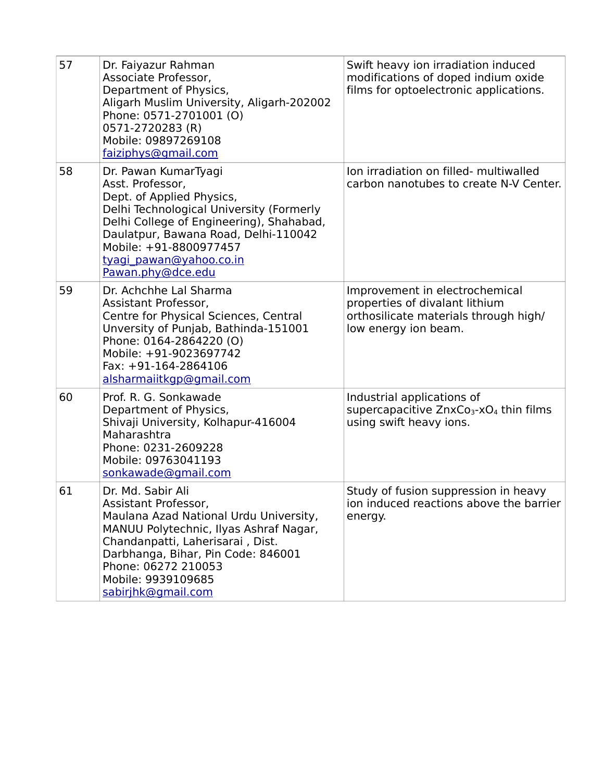| 57 | Dr. Faiyazur Rahman<br>Associate Professor,<br>Department of Physics,<br>Aligarh Muslim University, Aligarh-202002<br>Phone: 0571-2701001 (O)<br>0571-2720283 (R)<br>Mobile: 09897269108<br>faiziphys@gmail.com                                                                 | Swift heavy ion irradiation induced<br>modifications of doped indium oxide<br>films for optoelectronic applications.              |
|----|---------------------------------------------------------------------------------------------------------------------------------------------------------------------------------------------------------------------------------------------------------------------------------|-----------------------------------------------------------------------------------------------------------------------------------|
| 58 | Dr. Pawan KumarTyagi<br>Asst. Professor,<br>Dept. of Applied Physics,<br>Delhi Technological University (Formerly<br>Delhi College of Engineering), Shahabad,<br>Daulatpur, Bawana Road, Delhi-110042<br>Mobile: +91-8800977457<br>tyagi pawan@yahoo.co.in<br>Pawan.phy@dce.edu | Ion irradiation on filled- multiwalled<br>carbon nanotubes to create N-V Center.                                                  |
| 59 | Dr. Achchhe Lal Sharma<br>Assistant Professor,<br>Centre for Physical Sciences, Central<br>Unversity of Punjab, Bathinda-151001<br>Phone: 0164-2864220 (O)<br>Mobile: +91-9023697742<br>Fax: $+91-164-2864106$<br>alsharmaiitkgp@gmail.com                                      | Improvement in electrochemical<br>properties of divalant lithium<br>orthosilicate materials through high/<br>low energy ion beam. |
| 60 | Prof. R. G. Sonkawade<br>Department of Physics,<br>Shivaji University, Kolhapur-416004<br>Maharashtra<br>Phone: 0231-2609228<br>Mobile: 09763041193<br>sonkawade@gmail.com                                                                                                      | Industrial applications of<br>supercapacitive $ZnxCo3-xO4$ thin films<br>using swift heavy ions.                                  |
| 61 | Dr. Md. Sabir Ali<br>Assistant Professor,<br>Maulana Azad National Urdu University,<br>MANUU Polytechnic, Ilyas Ashraf Nagar,<br>Chandanpatti, Laherisarai, Dist.<br>Darbhanga, Bihar, Pin Code: 846001<br>Phone: 06272 210053<br>Mobile: 9939109685<br>sabirjhk@gmail.com      | Study of fusion suppression in heavy<br>ion induced reactions above the barrier<br>energy.                                        |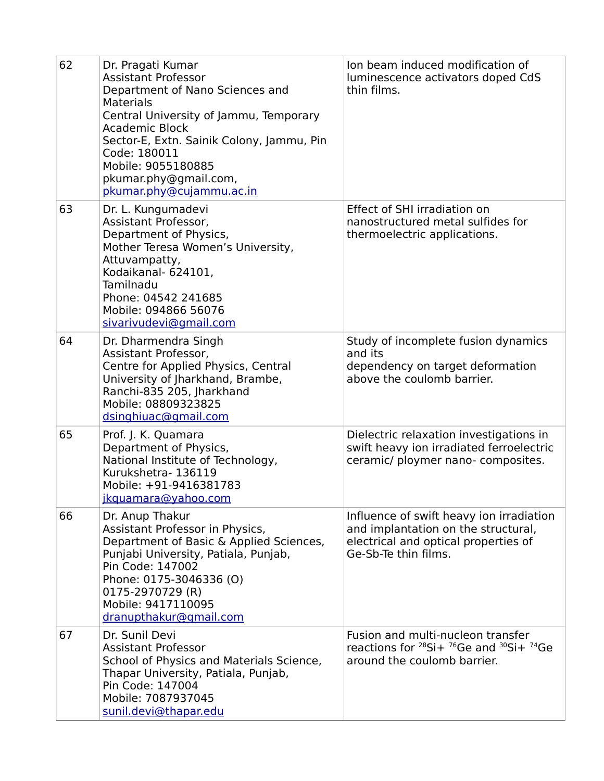| 62 | Dr. Pragati Kumar<br><b>Assistant Professor</b><br>Department of Nano Sciences and<br><b>Materials</b><br>Central University of Jammu, Temporary<br><b>Academic Block</b><br>Sector-E, Extn. Sainik Colony, Jammu, Pin<br>Code: 180011<br>Mobile: 9055180885<br>pkumar.phy@gmail.com,<br>pkumar.phy@cujammu.ac.in | Ion beam induced modification of<br>luminescence activators doped CdS<br>thin films.                                                            |
|----|-------------------------------------------------------------------------------------------------------------------------------------------------------------------------------------------------------------------------------------------------------------------------------------------------------------------|-------------------------------------------------------------------------------------------------------------------------------------------------|
| 63 | Dr. L. Kungumadevi<br>Assistant Professor,<br>Department of Physics,<br>Mother Teresa Women's University,<br>Attuvampatty,<br>Kodaikanal- 624101,<br>Tamilnadu<br>Phone: 04542 241685<br>Mobile: 094866 56076<br>sivarivudevi@gmail.com                                                                           | Effect of SHI irradiation on<br>nanostructured metal sulfides for<br>thermoelectric applications.                                               |
| 64 | Dr. Dharmendra Singh<br>Assistant Professor,<br>Centre for Applied Physics, Central<br>University of Jharkhand, Brambe,<br>Ranchi-835 205, Jharkhand<br>Mobile: 08809323825<br>dsinghiuac@gmail.com                                                                                                               | Study of incomplete fusion dynamics<br>and its<br>dependency on target deformation<br>above the coulomb barrier.                                |
| 65 | Prof. J. K. Quamara<br>Department of Physics,<br>National Institute of Technology,<br>Kurukshetra-136119<br>Mobile: +91-9416381783<br>jkquamara@yahoo.com                                                                                                                                                         | Dielectric relaxation investigations in<br>swift heavy ion irradiated ferroelectric<br>ceramic/ ploymer nano- composites.                       |
| 66 | Dr. Anup Thakur<br>Assistant Professor in Physics,<br>Department of Basic & Applied Sciences,<br>Punjabi University, Patiala, Punjab,<br>Pin Code: 147002<br>Phone: 0175-3046336 (O)<br>0175-2970729 (R)<br>Mobile: 9417110095<br>dranupthakur@gmail.com                                                          | Influence of swift heavy ion irradiation<br>and implantation on the structural,<br>electrical and optical properties of<br>Ge-Sb-Te thin films. |
| 67 | Dr. Sunil Devi<br><b>Assistant Professor</b><br>School of Physics and Materials Science,<br>Thapar University, Patiala, Punjab,<br>Pin Code: 147004<br>Mobile: 7087937045<br>sunil.devi@thapar.edu                                                                                                                | Fusion and multi-nucleon transfer<br>reactions for $^{28}$ Si+ $^{76}$ Ge and $^{30}$ Si+ $^{74}$ Ge<br>around the coulomb barrier.             |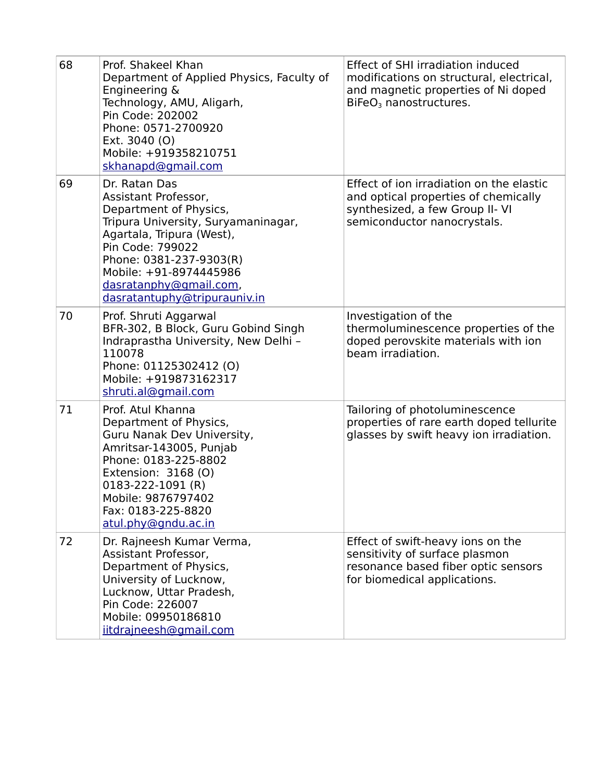| 68 | Prof. Shakeel Khan<br>Department of Applied Physics, Faculty of<br>Engineering &<br>Technology, AMU, Aligarh,<br>Pin Code: 202002<br>Phone: 0571-2700920<br>Ext. 3040 (O)<br>Mobile: +919358210751<br>skhanapd@gmail.com                                               | <b>Effect of SHI irradiation induced</b><br>modifications on structural, electrical,<br>and magnetic properties of Ni doped<br>BiFeO <sub>3</sub> nanostructures. |
|----|------------------------------------------------------------------------------------------------------------------------------------------------------------------------------------------------------------------------------------------------------------------------|-------------------------------------------------------------------------------------------------------------------------------------------------------------------|
| 69 | Dr. Ratan Das<br>Assistant Professor,<br>Department of Physics,<br>Tripura University, Suryamaninagar,<br>Agartala, Tripura (West),<br>Pin Code: 799022<br>Phone: 0381-237-9303(R)<br>Mobile: +91-8974445986<br>dasratanphy@gmail.com,<br>dasratantuphy@tripurauniv.in | Effect of ion irradiation on the elastic<br>and optical properties of chemically<br>synthesized, a few Group II- VI<br>semiconductor nanocrystals.                |
| 70 | Prof. Shruti Aggarwal<br>BFR-302, B Block, Guru Gobind Singh<br>Indraprastha University, New Delhi -<br>110078<br>Phone: 01125302412 (O)<br>Mobile: +919873162317<br>shruti.al@gmail.com                                                                               | Investigation of the<br>thermoluminescence properties of the<br>doped perovskite materials with ion<br>beam irradiation.                                          |
| 71 | Prof. Atul Khanna<br>Department of Physics,<br>Guru Nanak Dev University,<br>Amritsar-143005, Punjab<br>Phone: 0183-225-8802<br>Extension: 3168 (O)<br>0183-222-1091 (R)<br>Mobile: 9876797402<br>Fax: 0183-225-8820<br>atul.phy@gndu.ac.in                            | Tailoring of photoluminescence<br>properties of rare earth doped tellurite<br>glasses by swift heavy ion irradiation.                                             |
| 72 | Dr. Rajneesh Kumar Verma,<br>Assistant Professor,<br>Department of Physics,<br>University of Lucknow,<br>Lucknow, Uttar Pradesh,<br>Pin Code: 226007<br>Mobile: 09950186810<br>iitdrajneesh@gmail.com                                                                  | Effect of swift-heavy ions on the<br>sensitivity of surface plasmon<br>resonance based fiber optic sensors<br>for biomedical applications.                        |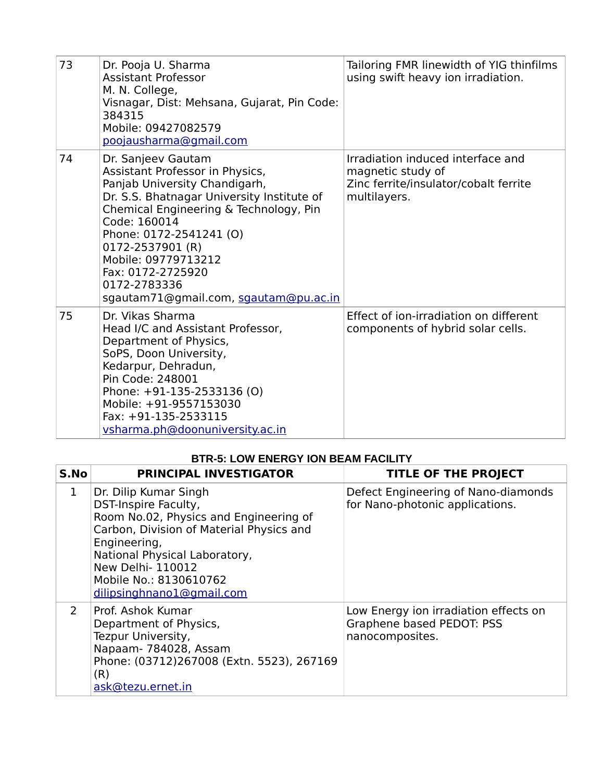| 73 | Dr. Pooja U. Sharma<br><b>Assistant Professor</b><br>M. N. College,<br>Visnagar, Dist: Mehsana, Gujarat, Pin Code:<br>384315<br>Mobile: 09427082579<br>poojausharma@gmail.com                                                                                                                                                                      | Tailoring FMR linewidth of YIG thinfilms<br>using swift heavy ion irradiation.                                  |
|----|----------------------------------------------------------------------------------------------------------------------------------------------------------------------------------------------------------------------------------------------------------------------------------------------------------------------------------------------------|-----------------------------------------------------------------------------------------------------------------|
| 74 | Dr. Sanjeev Gautam<br>Assistant Professor in Physics,<br>Panjab University Chandigarh,<br>Dr. S.S. Bhatnagar University Institute of<br>Chemical Engineering & Technology, Pin<br>Code: 160014<br>Phone: 0172-2541241 (O)<br>0172-2537901 (R)<br>Mobile: 09779713212<br>Fax: 0172-2725920<br>0172-2783336<br>sgautam71@gmail.com, sgautam@pu.ac.in | Irradiation induced interface and<br>magnetic study of<br>Zinc ferrite/insulator/cobalt ferrite<br>multilayers. |
| 75 | Dr. Vikas Sharma<br>Head I/C and Assistant Professor,<br>Department of Physics,<br>SoPS, Doon University,<br>Kedarpur, Dehradun,<br>Pin Code: 248001<br>Phone: +91-135-2533136 (O)<br>Mobile: +91-9557153030<br>Fax: +91-135-2533115<br>vsharma.ph@doonuniversity.ac.in                                                                            | Effect of ion-irradiation on different<br>components of hybrid solar cells.                                     |

## **BTR-5: LOW ENERGY ION BEAM FACILITY**

| S.No                  | <b>PRINCIPAL INVESTIGATOR</b>                                                                                                                                                                                                                                          | <b>TITLE OF THE PROJECT</b>                                                           |
|-----------------------|------------------------------------------------------------------------------------------------------------------------------------------------------------------------------------------------------------------------------------------------------------------------|---------------------------------------------------------------------------------------|
| $\mathbf{1}$          | Dr. Dilip Kumar Singh<br>DST-Inspire Faculty,<br>Room No.02, Physics and Engineering of<br>Carbon, Division of Material Physics and<br>Engineering,<br>National Physical Laboratory,<br><b>New Delhi-110012</b><br>Mobile No.: 8130610762<br>dilipsinghnano1@gmail.com | Defect Engineering of Nano-diamonds<br>for Nano-photonic applications.                |
| $\mathbf{2}^{\prime}$ | Prof. Ashok Kumar<br>Department of Physics,<br>Tezpur University,<br>Napaam- 784028, Assam<br>Phone: (03712)267008 (Extn. 5523), 267169<br>(R)<br>ask@tezu.ernet.in                                                                                                    | Low Energy ion irradiation effects on<br>Graphene based PEDOT: PSS<br>nanocomposites. |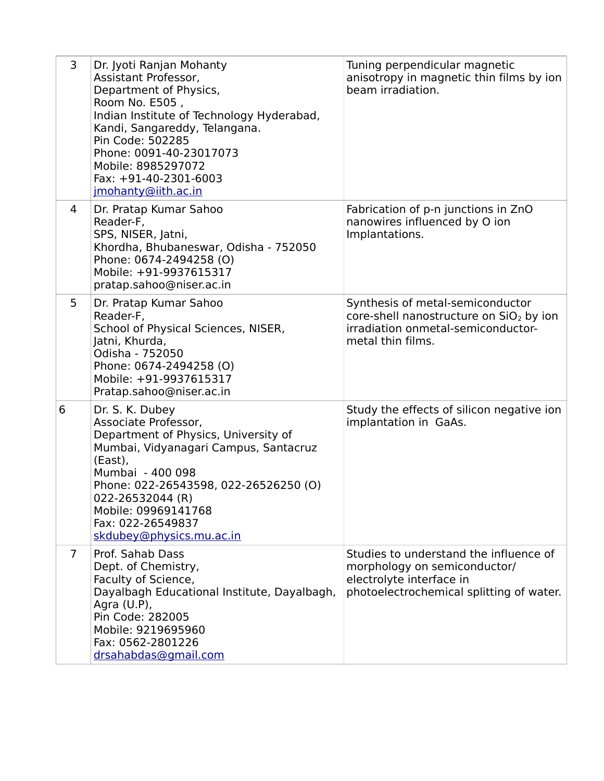| 3              | Dr. Jyoti Ranjan Mohanty<br>Assistant Professor,<br>Department of Physics,<br>Room No. E505,<br>Indian Institute of Technology Hyderabad,<br>Kandi, Sangareddy, Telangana.<br>Pin Code: 502285<br>Phone: 0091-40-23017073<br>Mobile: 8985297072<br>Fax: +91-40-2301-6003<br>jmohanty@iith.ac.in | Tuning perpendicular magnetic<br>anisotropy in magnetic thin films by ion<br>beam irradiation.                                                     |
|----------------|-------------------------------------------------------------------------------------------------------------------------------------------------------------------------------------------------------------------------------------------------------------------------------------------------|----------------------------------------------------------------------------------------------------------------------------------------------------|
| 4              | Dr. Pratap Kumar Sahoo<br>Reader-F,<br>SPS, NISER, Jatni,<br>Khordha, Bhubaneswar, Odisha - 752050<br>Phone: 0674-2494258 (O)<br>Mobile: +91-9937615317<br>pratap.sahoo@niser.ac.in                                                                                                             | Fabrication of p-n junctions in ZnO<br>nanowires influenced by O ion<br>Implantations.                                                             |
| 5              | Dr. Pratap Kumar Sahoo<br>Reader-F,<br>School of Physical Sciences, NISER,<br>Jatni, Khurda,<br>Odisha - 752050<br>Phone: 0674-2494258 (O)<br>Mobile: +91-9937615317<br>Pratap.sahoo@niser.ac.in                                                                                                | Synthesis of metal-semiconductor<br>core-shell nanostructure on SiO <sub>2</sub> by ion<br>irradiation onmetal-semiconductor-<br>metal thin films. |
| 6              | Dr. S. K. Dubey<br>Associate Professor,<br>Department of Physics, University of<br>Mumbai, Vidyanagari Campus, Santacruz<br>(East),<br>Mumbai - 400 098<br>Phone: 022-26543598, 022-26526250 (O)<br>022-26532044 (R)<br>Mobile: 09969141768<br>Fax: 022-26549837<br>skdubey@physics.mu.ac.in    | Study the effects of silicon negative ion<br>implantation in GaAs.                                                                                 |
| $\overline{7}$ | Prof. Sahab Dass<br>Dept. of Chemistry,<br>Faculty of Science,<br>Dayalbagh Educational Institute, Dayalbagh,<br>Agra $(U.P)$ ,<br>Pin Code: 282005<br>Mobile: 9219695960<br>Fax: 0562-2801226<br>drsahabdas@gmail.com                                                                          | Studies to understand the influence of<br>morphology on semiconductor/<br>electrolyte interface in<br>photoelectrochemical splitting of water.     |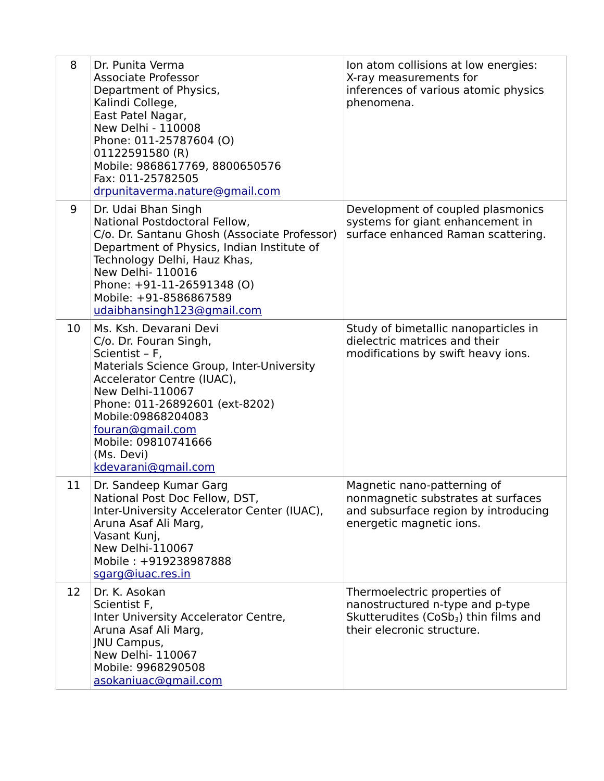| 8  | Dr. Punita Verma<br><b>Associate Professor</b><br>Department of Physics,<br>Kalindi College,<br>East Patel Nagar,<br>New Delhi - 110008<br>Phone: 011-25787604 (O)<br>01122591580 (R)<br>Mobile: 9868617769, 8800650576<br>Fax: 011-25782505<br>drpunitaverma.nature@gmail.com                                   | Ion atom collisions at low energies:<br>X-ray measurements for<br>inferences of various atomic physics<br>phenomena.                                |
|----|------------------------------------------------------------------------------------------------------------------------------------------------------------------------------------------------------------------------------------------------------------------------------------------------------------------|-----------------------------------------------------------------------------------------------------------------------------------------------------|
| 9  | Dr. Udai Bhan Singh<br>National Postdoctoral Fellow,<br>C/o. Dr. Santanu Ghosh (Associate Professor)<br>Department of Physics, Indian Institute of<br>Technology Delhi, Hauz Khas,<br>New Delhi- 110016<br>Phone: +91-11-26591348 (O)<br>Mobile: +91-8586867589<br>udaibhansingh123@gmail.com                    | Development of coupled plasmonics<br>systems for giant enhancement in<br>surface enhanced Raman scattering.                                         |
| 10 | Ms. Ksh. Devarani Devi<br>C/o. Dr. Fouran Singh,<br>Scientist - F,<br>Materials Science Group, Inter-University<br>Accelerator Centre (IUAC),<br><b>New Delhi-110067</b><br>Phone: 011-26892601 (ext-8202)<br>Mobile:09868204083<br>fouran@gmail.com<br>Mobile: 09810741666<br>(Ms. Devi)<br>kdevarani@gmail.com | Study of bimetallic nanoparticles in<br>dielectric matrices and their<br>modifications by swift heavy ions.                                         |
| 11 | Dr. Sandeep Kumar Garg<br>National Post Doc Fellow, DST,<br>Inter-University Accelerator Center (IUAC),<br>Aruna Asaf Ali Marg,<br>Vasant Kunj,<br><b>New Delhi-110067</b><br>Mobile: +919238987888<br>sgarg@iuac.res.in                                                                                         | Magnetic nano-patterning of<br>nonmagnetic substrates at surfaces<br>and subsurface region by introducing<br>energetic magnetic ions.               |
| 12 | Dr. K. Asokan<br>Scientist F,<br>Inter University Accelerator Centre,<br>Aruna Asaf Ali Marg,<br><b>JNU Campus,</b><br>New Delhi- 110067<br>Mobile: 9968290508<br>asokaniuac@gmail.com                                                                                                                           | Thermoelectric properties of<br>nanostructured n-type and p-type<br>Skutterudites (CoSb <sub>3</sub> ) thin films and<br>their elecronic structure. |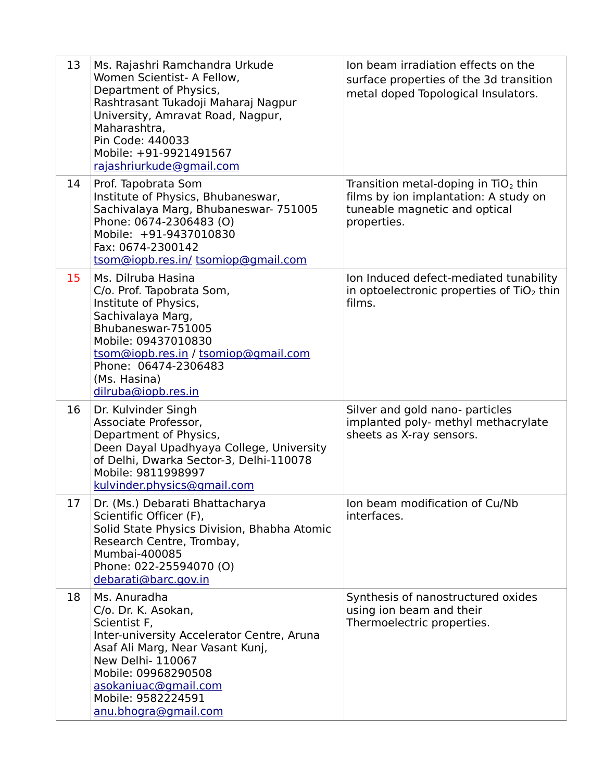| 13 | Ms. Rajashri Ramchandra Urkude<br>Women Scientist- A Fellow,<br>Department of Physics,<br>Rashtrasant Tukadoji Maharaj Nagpur<br>University, Amravat Road, Nagpur,<br>Maharashtra.<br>Pin Code: 440033<br>Mobile: +91-9921491567<br>rajashriurkude@gmail.com | Jon beam irradiation effects on the<br>surface properties of the 3d transition<br>metal doped Topological Insulators.           |
|----|--------------------------------------------------------------------------------------------------------------------------------------------------------------------------------------------------------------------------------------------------------------|---------------------------------------------------------------------------------------------------------------------------------|
| 14 | Prof. Tapobrata Som<br>Institute of Physics, Bhubaneswar,<br>Sachivalaya Marg, Bhubaneswar- 751005<br>Phone: 0674-2306483 (O)<br>Mobile: +91-9437010830<br>Fax: 0674-2300142<br>tsom@iopb.res.in/ tsomiop@gmail.com                                          | Transition metal-doping in $TiO2$ thin<br>films by ion implantation: A study on<br>tuneable magnetic and optical<br>properties. |
| 15 | Ms. Dilruba Hasina<br>C/o. Prof. Tapobrata Som,<br>Institute of Physics,<br>Sachivalaya Marg,<br>Bhubaneswar-751005<br>Mobile: 09437010830<br>tsom@iopb.res.in / tsomiop@gmail.com<br>Phone: 06474-2306483<br>(Ms. Hasina)<br>dilruba@iopb.res.in            | Ion Induced defect-mediated tunability<br>in optoelectronic properties of $TiO2$ thin<br>films.                                 |
| 16 | Dr. Kulvinder Singh<br>Associate Professor,<br>Department of Physics,<br>Deen Dayal Upadhyaya College, University<br>of Delhi, Dwarka Sector-3, Delhi-110078<br>Mobile: 9811998997<br>kulvinder.physics@gmail.com                                            | Silver and gold nano- particles<br>implanted poly- methyl methacrylate<br>sheets as X-ray sensors.                              |
| 17 | Dr. (Ms.) Debarati Bhattacharya<br>Scientific Officer (F),<br>Solid State Physics Division, Bhabha Atomic<br>Research Centre, Trombay,<br>Mumbai-400085<br>Phone: 022-25594070 (O)<br>debarati@barc.gov.in                                                   | Ion beam modification of Cu/Nb<br>interfaces.                                                                                   |
| 18 | Ms. Anuradha<br>C/o. Dr. K. Asokan,<br>Scientist F,<br>Inter-university Accelerator Centre, Aruna<br>Asaf Ali Marg, Near Vasant Kunj,<br>New Delhi- 110067<br>Mobile: 09968290508<br>asokaniuac@gmail.com<br>Mobile: 9582224591<br>anu.bhogra@gmail.com      | Synthesis of nanostructured oxides<br>using ion beam and their<br>Thermoelectric properties.                                    |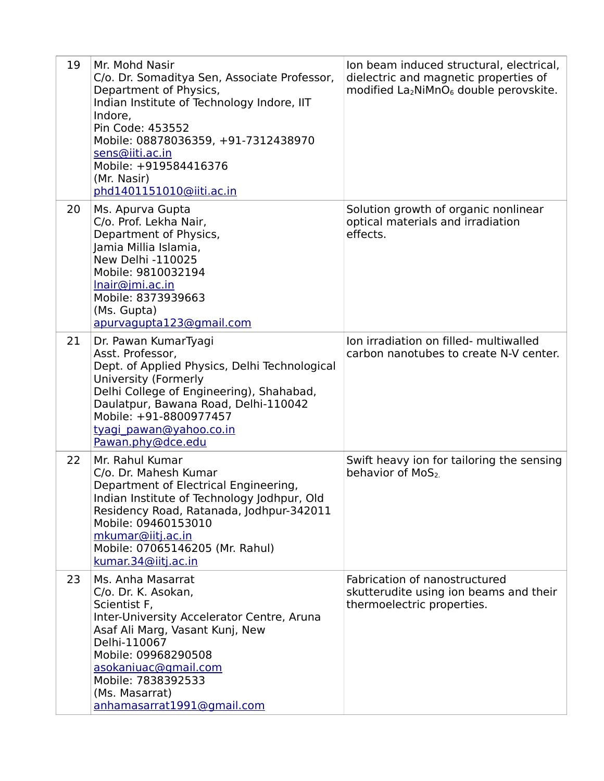| 19 | Mr. Mohd Nasir<br>C/o. Dr. Somaditya Sen, Associate Professor,<br>Department of Physics,<br>Indian Institute of Technology Indore, IIT<br>Indore,<br>Pin Code: 453552<br>Mobile: 08878036359, +91-7312438970<br>sens@iiti.ac.in<br>Mobile: +919584416376<br>(Mr. Nasir)<br>phd1401151010@iiti.ac.in | Ion beam induced structural, electrical,<br>dielectric and magnetic properties of<br>modified $La_2NIMnO_6$ double perovskite. |
|----|-----------------------------------------------------------------------------------------------------------------------------------------------------------------------------------------------------------------------------------------------------------------------------------------------------|--------------------------------------------------------------------------------------------------------------------------------|
| 20 | Ms. Apurva Gupta<br>C/o. Prof. Lekha Nair,<br>Department of Physics,<br>Jamia Millia Islamia,<br>New Delhi -110025<br>Mobile: 9810032194<br>Inair@jmi.ac.in<br>Mobile: 8373939663<br>(Ms. Gupta)<br>apurvagupta123@gmail.com                                                                        | Solution growth of organic nonlinear<br>optical materials and irradiation<br>effects.                                          |
| 21 | Dr. Pawan KumarTyagi<br>Asst. Professor,<br>Dept. of Applied Physics, Delhi Technological<br>University (Formerly<br>Delhi College of Engineering), Shahabad,<br>Daulatpur, Bawana Road, Delhi-110042<br>Mobile: +91-8800977457<br>tyagi pawan@yahoo.co.in<br>Pawan.phy@dce.edu                     | Ion irradiation on filled- multiwalled<br>carbon nanotubes to create N-V center.                                               |
| 22 | Mr. Rahul Kumar<br>C/o. Dr. Mahesh Kumar<br>Department of Electrical Engineering,<br>Indian Institute of Technology Jodhpur, Old<br>Residency Road, Ratanada, Jodhpur-342011<br>Mobile: 09460153010<br>mkumar@iitj.ac.in<br>Mobile: 07065146205 (Mr. Rahul)<br>kumar.34@iitj.ac.in                  | Swift heavy ion for tailoring the sensing<br>behavior of MoS <sub>2</sub>                                                      |
| 23 | Ms. Anha Masarrat<br>C/o. Dr. K. Asokan,<br>Scientist F,<br>Inter-University Accelerator Centre, Aruna<br>Asaf Ali Marg, Vasant Kunj, New<br>Delhi-110067<br>Mobile: 09968290508<br>asokaniuac@gmail.com<br>Mobile: 7838392533<br>(Ms. Masarrat)<br>anhamasarrat1991@gmail.com                      | Fabrication of nanostructured<br>skutterudite using ion beams and their<br>thermoelectric properties.                          |